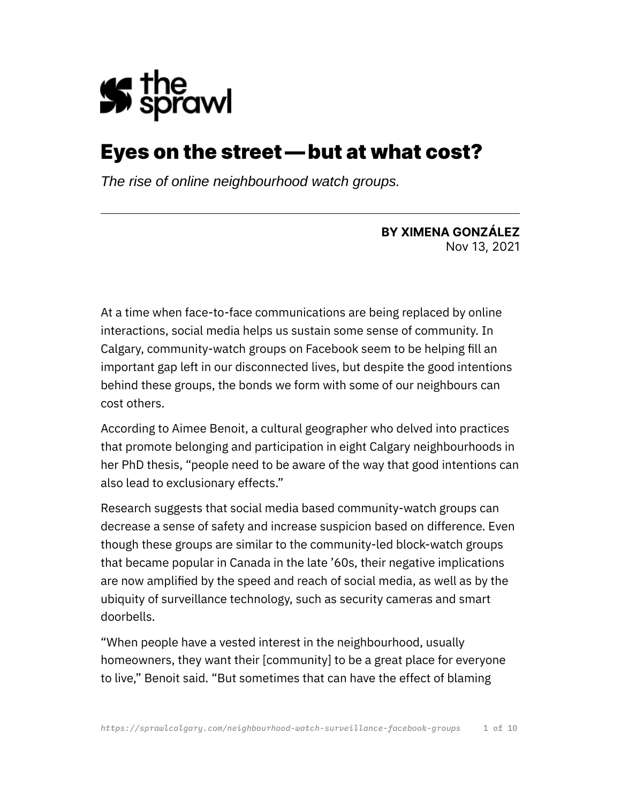

# Eyes on the street — but at what cost?

*The rise of online neighbourhood watch groups.*

**BY XIMENA GONZÁLEZ** Nov 13, 2021

At a time when face-to-face communications are being replaced by online interactions, social media helps us sustain some sense of community. In Calgary, community-watch groups on Facebook seem to be helping fill an important gap left in our disconnected lives, but despite the good intentions behind these groups, the bonds we form with some of our neighbours can cost others.

According to Aimee Benoit, a cultural geographer who delved into practices that promote belonging and participation in eight Calgary neighbourhoods in her PhD thesis, "people need to be aware of the way that good intentions can also lead to exclusionary effects."

Research suggests that social media based community-watch groups can decrease a sense of safety and increase suspicion based on difference. Even though these groups are similar to the community-led block-watch groups that became popular in Canada in the late '60s, their negative implications are now amplified by the speed and reach of social media, as well as by the ubiquity of surveillance technology, such as security cameras and smart doorbells.

"When people have a vested interest in the neighbourhood, usually homeowners, they want their [community] to be a great place for everyone to live," Benoit said. "But sometimes that can have the effect of blaming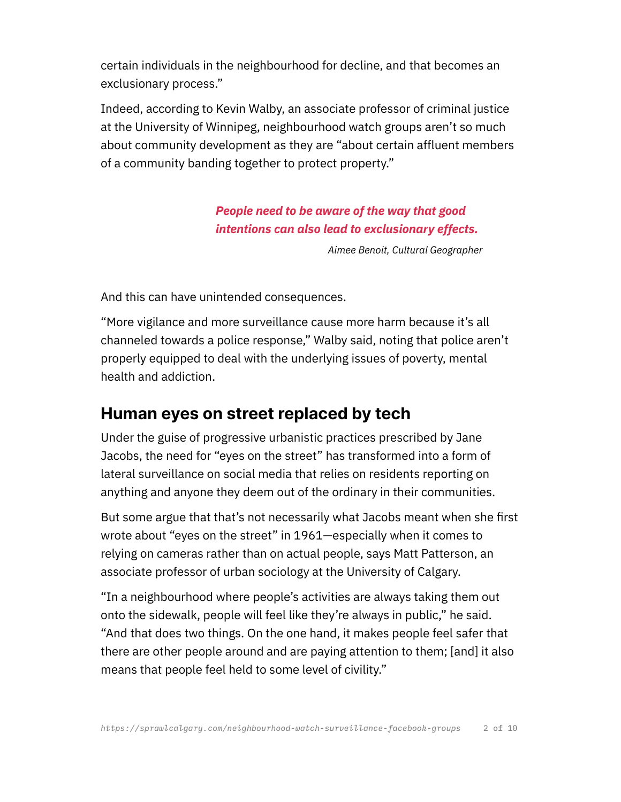certain individuals in the neighbourhood for decline, and that becomes an exclusionary process."

Indeed, according to Kevin Walby, an associate professor of criminal justice at the University of Winnipeg, neighbourhood watch groups aren't so much about community development as they are "about certain affluent members of a community banding together to protect property."

#### *People need to be aware of the way that good intentions can also lead to exclusionary effects.*

*Aimee Benoit, Cultural Geographer*

And this can have unintended consequences.

"More vigilance and more surveillance cause more harm because it's all channeled towards a police response," Walby said, noting that police aren't properly equipped to deal with the underlying issues of poverty, mental health and addiction.

### **Human eyes on street replaced by tech**

Under the guise of progressive urbanistic practices prescribed by Jane Jacobs, the need for "eyes on the street" has transformed into a form of lateral surveillance on social media that relies on residents reporting on anything and anyone they deem out of the ordinary in their communities.

But some argue that that's not necessarily what Jacobs meant when she first wrote about "eyes on the street" in 1961—especially when it comes to relying on cameras rather than on actual people, says Matt Patterson, an associate professor of urban sociology at the University of Calgary.

"In a neighbourhood where people's activities are always taking them out onto the sidewalk, people will feel like they're always in public," he said. "And that does two things. On the one hand, it makes people feel safer that there are other people around and are paying attention to them; [and] it also means that people feel held to some level of civility."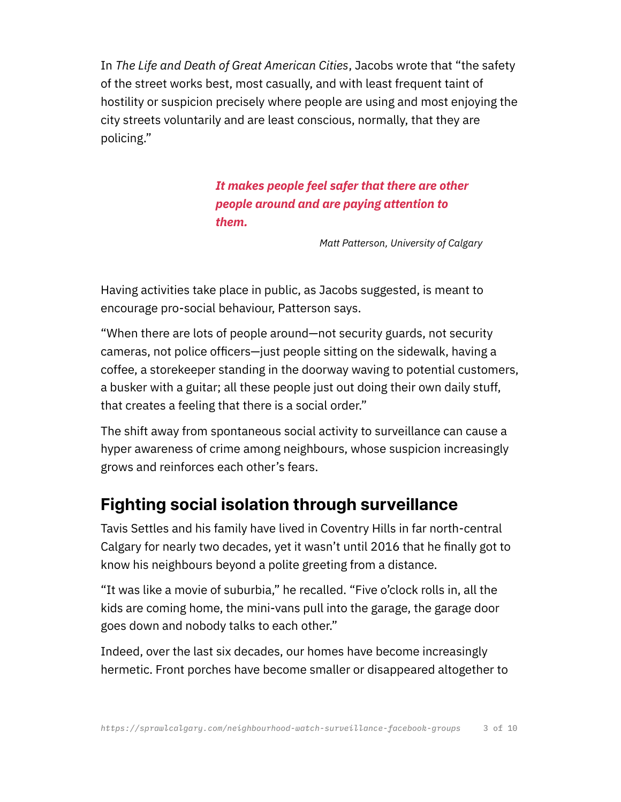In *The Life and Death of Great American Cities*, Jacobs wrote that "the safety of the street works best, most casually, and with least frequent taint of hostility or suspicion precisely where people are using and most enjoying the city streets voluntarily and are least conscious, normally, that they are policing."

> *It makes people feel safer that there are other people around and are paying attention to them.*

> > *Matt Patterson, University of Calgary*

Having activities take place in public, as Jacobs suggested, is meant to encourage pro-social behaviour, Patterson says.

"When there are lots of people around—not security guards, not security cameras, not police officers—just people sitting on the sidewalk, having a coffee, a storekeeper standing in the doorway waving to potential customers, a busker with a guitar; all these people just out doing their own daily stuff, that creates a feeling that there is a social order."

The shift away from spontaneous social activity to surveillance can cause a hyper awareness of crime among neighbours, whose suspicion increasingly grows and reinforces each other's fears.

### **Fighting social isolation through surveillance**

Tavis Settles and his family have lived in Coventry Hills in far north-central Calgary for nearly two decades, yet it wasn't until 2016 that he finally got to know his neighbours beyond a polite greeting from a distance.

"It was like a movie of suburbia," he recalled. "Five o'clock rolls in, all the kids are coming home, the mini-vans pull into the garage, the garage door goes down and nobody talks to each other."

Indeed, over the last six decades, our homes have become increasingly hermetic. Front porches have become smaller or disappeared altogether to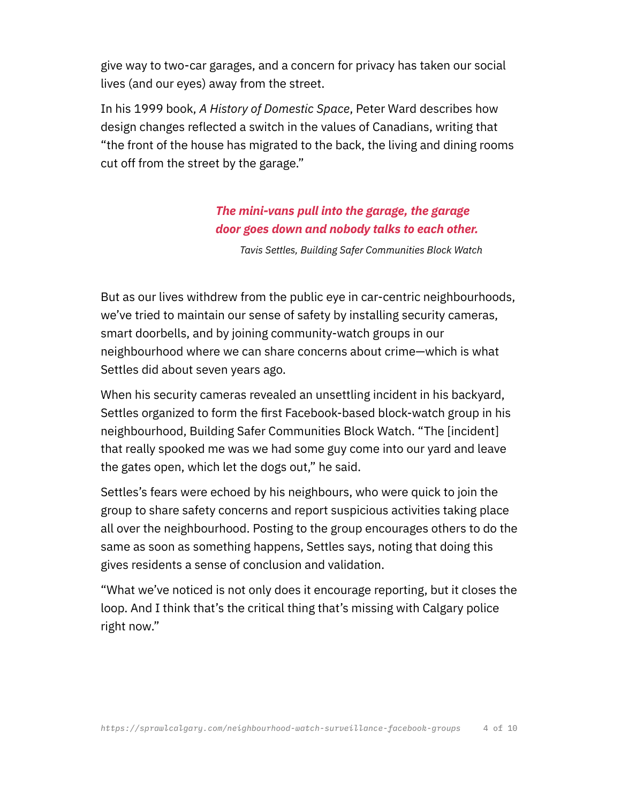give way to two-car garages, and a concern for privacy has taken our social lives (and our eyes) away from the street.

In his 1999 book, *A History of Domestic Space*, Peter Ward describes how design changes reflected a switch in the values of Canadians, writing that "the front of the house has migrated to the back, the living and dining rooms cut off from the street by the garage."

#### *The mini-vans pull into the garage, the garage door goes down and nobody talks to each other.*

*Tavis Settles, Building Safer Communities Block Watch*

But as our lives withdrew from the public eye in car-centric neighbourhoods, we've tried to maintain our sense of safety by installing security cameras, smart doorbells, and by joining community-watch groups in our neighbourhood where we can share concerns about crime—which is what Settles did about seven years ago.

When his security cameras revealed an unsettling incident in his backyard, Settles organized to form the first Facebook-based block-watch group in his neighbourhood, Building Safer Communities Block Watch. "The [incident] that really spooked me was we had some guy come into our yard and leave the gates open, which let the dogs out," he said.

Settles's fears were echoed by his neighbours, who were quick to join the group to share safety concerns and report suspicious activities taking place all over the neighbourhood. Posting to the group encourages others to do the same as soon as something happens, Settles says, noting that doing this gives residents a sense of conclusion and validation.

"What we've noticed is not only does it encourage reporting, but it closes the loop. And I think that's the critical thing that's missing with Calgary police right now."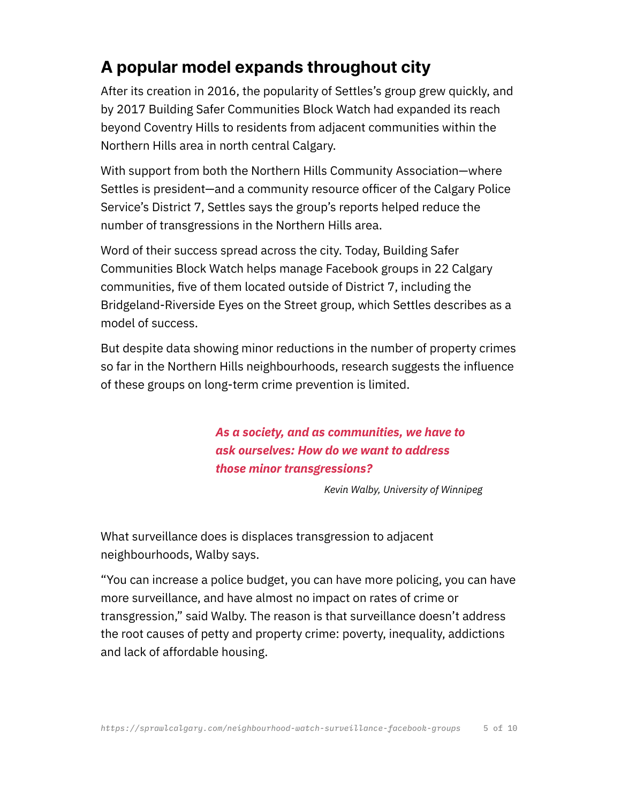## **A popular model expands throughout city**

After its creation in 2016, the popularity of Settles's group grew quickly, and by 2017 Building Safer Communities Block Watch had expanded its reach beyond Coventry Hills to residents from adjacent communities within the Northern Hills area in north central Calgary.

With support from both the Northern Hills Community Association—where Settles is president—and a community resource officer of the Calgary Police Service's District 7, Settles says the group's reports helped reduce the number of transgressions in the Northern Hills area.

Word of their success spread across the city. Today, Building Safer Communities Block Watch helps manage Facebook groups in 22 Calgary communities, five of them located outside of District 7, including the Bridgeland-Riverside Eyes on the Street group, which Settles describes as a model of success.

But despite data showing minor reductions in the number of property crimes so far in the Northern Hills neighbourhoods, research suggests the influence of these groups on long-term crime prevention is limited.

> *As a society, and as communities, we have to ask ourselves: How do we want to address those minor transgressions?*

> > *Kevin Walby, University of Winnipeg*

What surveillance does is displaces transgression to adjacent neighbourhoods, Walby says.

"You can increase a police budget, you can have more policing, you can have more surveillance, and have almost no impact on rates of crime or transgression," said Walby. The reason is that surveillance doesn't address the root causes of petty and property crime: poverty, inequality, addictions and lack of affordable housing.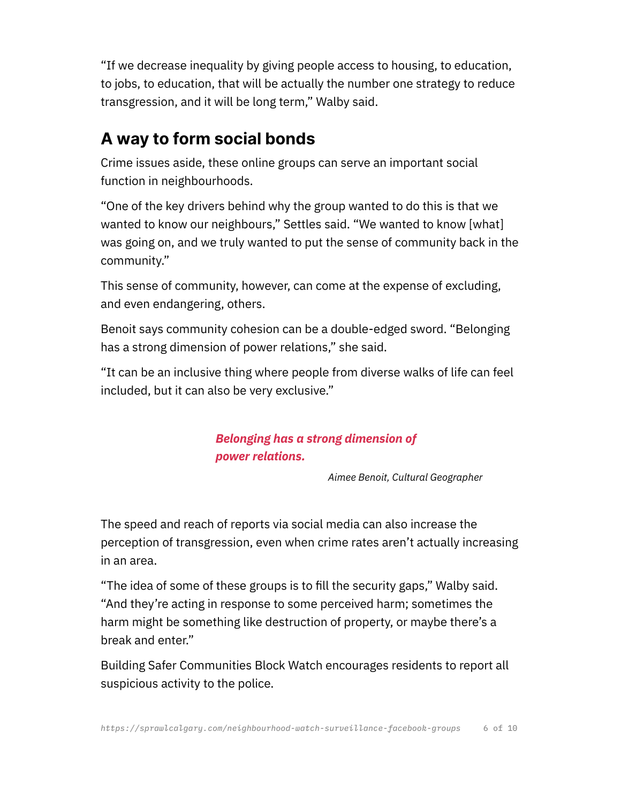"If we decrease inequality by giving people access to housing, to education, to jobs, to education, that will be actually the number one strategy to reduce transgression, and it will be long term," Walby said.

## **A way to form social bonds**

Crime issues aside, these online groups can serve an important social function in neighbourhoods.

"One of the key drivers behind why the group wanted to do this is that we wanted to know our neighbours," Settles said. "We wanted to know [what] was going on, and we truly wanted to put the sense of community back in the community."

This sense of community, however, can come at the expense of excluding, and even endangering, others.

Benoit says community cohesion can be a double-edged sword. "Belonging has a strong dimension of power relations," she said.

"It can be an inclusive thing where people from diverse walks of life can feel included, but it can also be very exclusive."

#### *Belonging has a strong dimension of power relations.*

 *Aimee Benoit, Cultural Geographer*

The speed and reach of reports via social media can also increase the perception of transgression, even when crime rates aren't actually increasing in an area.

"The idea of some of these groups is to fill the security gaps," Walby said. "And they're acting in response to some perceived harm; sometimes the harm might be something like destruction of property, or maybe there's a break and enter."

Building Safer Communities Block Watch encourages residents to report all suspicious activity to the police.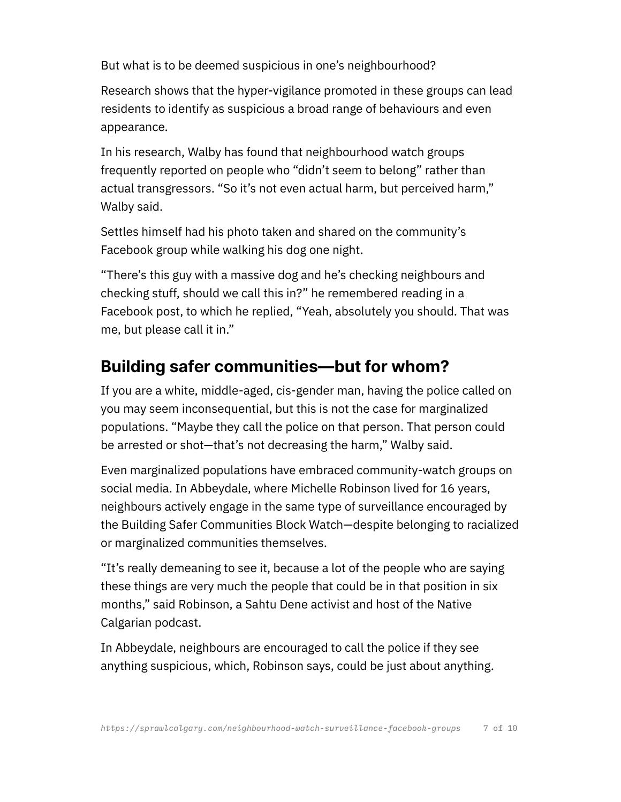But what is to be deemed suspicious in one's neighbourhood?

Research shows that the hyper-vigilance promoted in these groups can lead residents to identify as suspicious a broad range of behaviours and even appearance.

In his research, Walby has found that neighbourhood watch groups frequently reported on people who "didn't seem to belong" rather than actual transgressors. "So it's not even actual harm, but perceived harm," Walby said.

Settles himself had his photo taken and shared on the community's Facebook group while walking his dog one night.

"There's this guy with a massive dog and he's checking neighbours and checking stuff, should we call this in?" he remembered reading in a Facebook post, to which he replied, "Yeah, absolutely you should. That was me, but please call it in."

## **Building safer communities—but for whom?**

If you are a white, middle-aged, cis-gender man, having the police called on you may seem inconsequential, but this is not the case for marginalized populations. "Maybe they call the police on that person. That person could be arrested or shot—that's not decreasing the harm," Walby said.

Even marginalized populations have embraced community-watch groups on social media. In Abbeydale, where Michelle Robinson lived for 16 years, neighbours actively engage in the same type of surveillance encouraged by the Building Safer Communities Block Watch—despite belonging to racialized or marginalized communities themselves.

"It's really demeaning to see it, because a lot of the people who are saying these things are very much the people that could be in that position in six months," said Robinson, a Sahtu Dene activist and host of the Native Calgarian podcast.

In Abbeydale, neighbours are encouraged to call the police if they see anything suspicious, which, Robinson says, could be just about anything.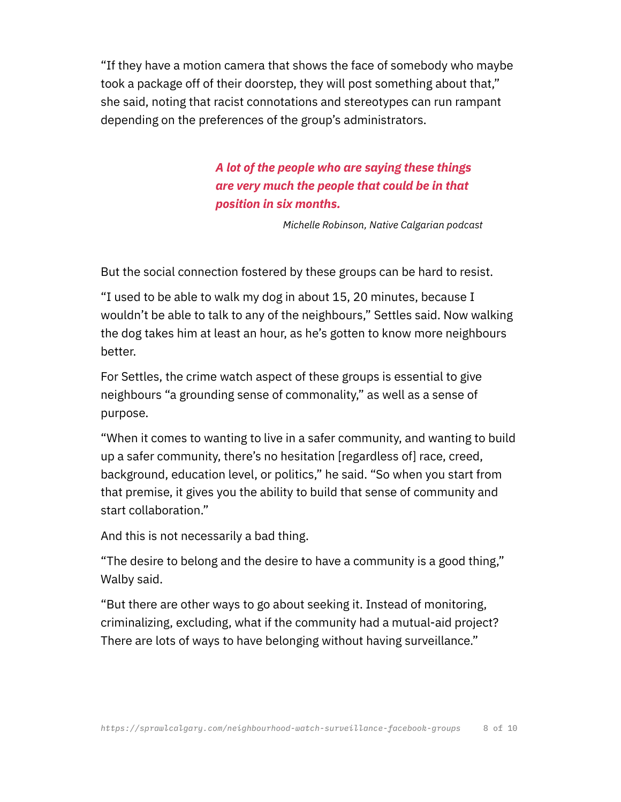"If they have a motion camera that shows the face of somebody who maybe took a package off of their doorstep, they will post something about that," she said, noting that racist connotations and stereotypes can run rampant depending on the preferences of the group's administrators.

> *A lot of the people who are saying these things are very much the people that could be in that position in six months.*

> > *Michelle Robinson, Native Calgarian podcast*

But the social connection fostered by these groups can be hard to resist.

"I used to be able to walk my dog in about 15, 20 minutes, because I wouldn't be able to talk to any of the neighbours," Settles said. Now walking the dog takes him at least an hour, as he's gotten to know more neighbours better.

For Settles, the crime watch aspect of these groups is essential to give neighbours "a grounding sense of commonality," as well as a sense of purpose.

"When it comes to wanting to live in a safer community, and wanting to build up a safer community, there's no hesitation [regardless of] race, creed, background, education level, or politics," he said. "So when you start from that premise, it gives you the ability to build that sense of community and start collaboration."

And this is not necessarily a bad thing.

"The desire to belong and the desire to have a community is a good thing," Walby said.

"But there are other ways to go about seeking it. Instead of monitoring, criminalizing, excluding, what if the community had a mutual-aid project? There are lots of ways to have belonging without having surveillance."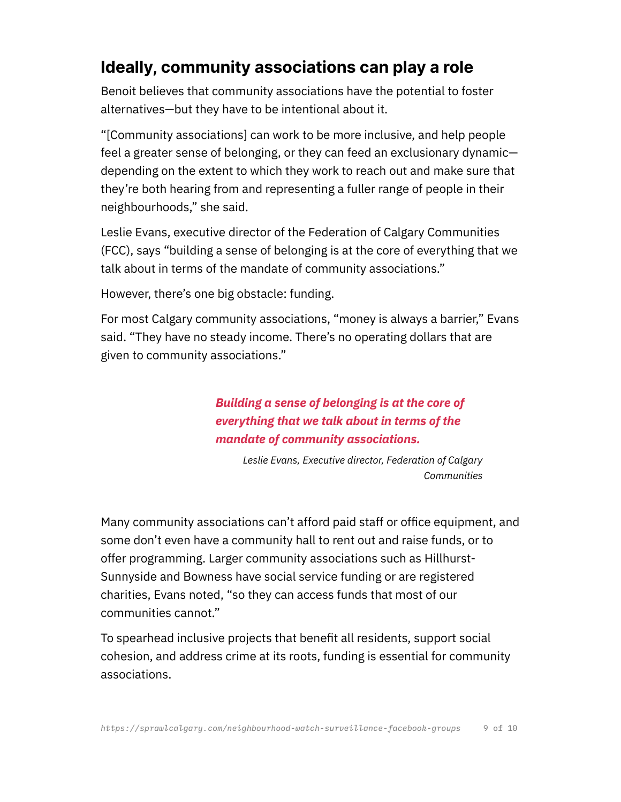## **Ideally, community associations can play a role**

Benoit believes that community associations have the potential to foster alternatives—but they have to be intentional about it.

"[Community associations] can work to be more inclusive, and help people feel a greater sense of belonging, or they can feed an exclusionary dynamic depending on the extent to which they work to reach out and make sure that they're both hearing from and representing a fuller range of people in their neighbourhoods," she said.

Leslie Evans, executive director of the Federation of Calgary Communities (FCC), says "building a sense of belonging is at the core of everything that we talk about in terms of the mandate of community associations."

However, there's one big obstacle: funding.

For most Calgary community associations, "money is always a barrier," Evans said. "They have no steady income. There's no operating dollars that are given to community associations."

> *Building a sense of belonging is at the core of everything that we talk about in terms of the mandate of community associations.*

> > *Leslie Evans, Executive director, Federation of Calgary Communities*

Many community associations can't afford paid staff or office equipment, and some don't even have a community hall to rent out and raise funds, or to offer programming. Larger community associations such as Hillhurst-Sunnyside and Bowness have social service funding or are registered charities, Evans noted, "so they can access funds that most of our communities cannot."

To spearhead inclusive projects that benefit all residents, support social cohesion, and address crime at its roots, funding is essential for community associations.